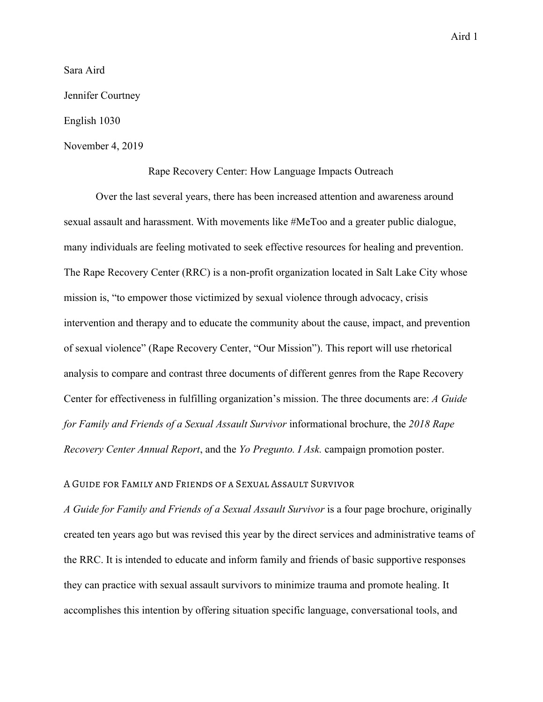Aird 1

Sara Aird Jennifer Courtney English 1030 November 4, 2019

## Rape Recovery Center: How Language Impacts Outreach

Over the last several years, there has been increased attention and awareness around sexual assault and harassment. With movements like #MeToo and a greater public dialogue, many individuals are feeling motivated to seek effective resources for healing and prevention. The Rape Recovery Center (RRC) is a non-profit organization located in Salt Lake City whose mission is, "to empower those victimized by sexual violence through advocacy, crisis intervention and therapy and to educate the community about the cause, impact, and prevention of sexual violence" (Rape Recovery Center, "Our Mission"). This report will use rhetorical analysis to compare and contrast three documents of different genres from the Rape Recovery Center for effectiveness in fulfilling organization's mission. The three documents are: *A Guide for Family and Friends of a Sexual Assault Survivor* informational brochure, the *2018 Rape Recovery Center Annual Report*, and the *Yo Pregunto. I Ask.* campaign promotion poster.

## A Guide for Family and Friends of a Sexual Assault Survivor

*A Guide for Family and Friends of a Sexual Assault Survivor* is a four page brochure, originally created ten years ago but was revised this year by the direct services and administrative teams of the RRC. It is intended to educate and inform family and friends of basic supportive responses they can practice with sexual assault survivors to minimize trauma and promote healing. It accomplishes this intention by offering situation specific language, conversational tools, and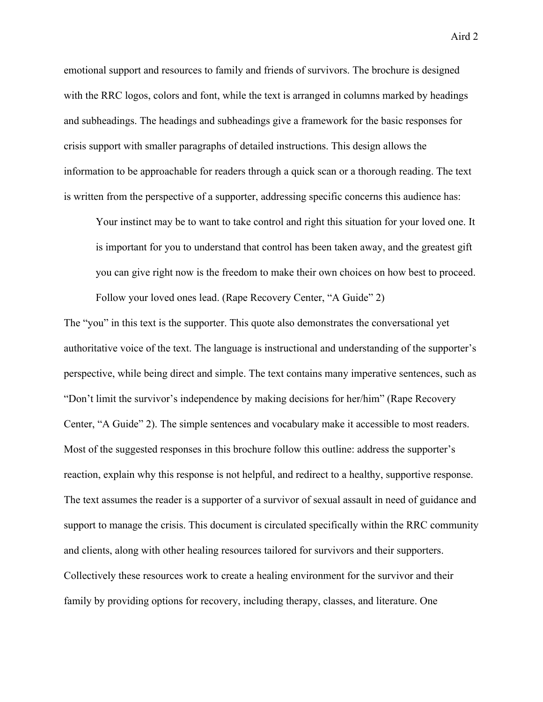emotional support and resources to family and friends of survivors. The brochure is designed with the RRC logos, colors and font, while the text is arranged in columns marked by headings and subheadings. The headings and subheadings give a framework for the basic responses for crisis support with smaller paragraphs of detailed instructions. This design allows the information to be approachable for readers through a quick scan or a thorough reading. The text is written from the perspective of a supporter, addressing specific concerns this audience has:

Your instinct may be to want to take control and right this situation for your loved one. It is important for you to understand that control has been taken away, and the greatest gift you can give right now is the freedom to make their own choices on how best to proceed. Follow your loved ones lead. (Rape Recovery Center, "A Guide" 2)

The "you" in this text is the supporter. This quote also demonstrates the conversational yet authoritative voice of the text. The language is instructional and understanding of the supporter's perspective, while being direct and simple. The text contains many imperative sentences, such as "Don't limit the survivor's independence by making decisions for her/him" (Rape Recovery Center, "A Guide" 2). The simple sentences and vocabulary make it accessible to most readers. Most of the suggested responses in this brochure follow this outline: address the supporter's reaction, explain why this response is not helpful, and redirect to a healthy, supportive response. The text assumes the reader is a supporter of a survivor of sexual assault in need of guidance and support to manage the crisis. This document is circulated specifically within the RRC community and clients, along with other healing resources tailored for survivors and their supporters. Collectively these resources work to create a healing environment for the survivor and their family by providing options for recovery, including therapy, classes, and literature. One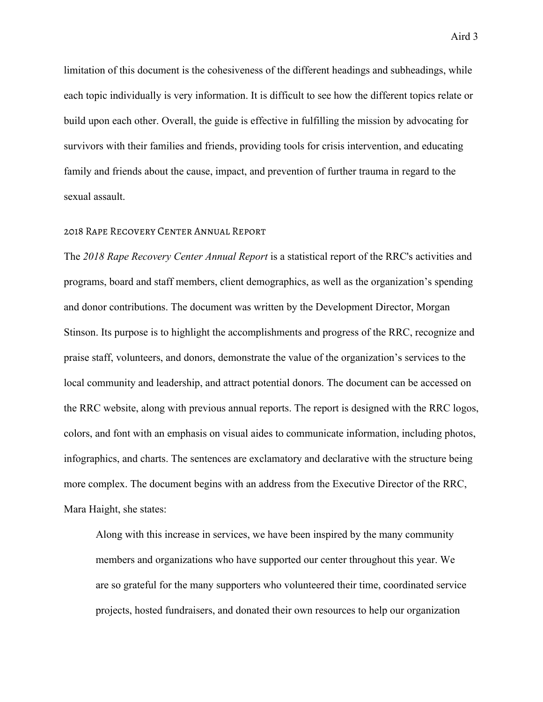limitation of this document is the cohesiveness of the different headings and subheadings, while each topic individually is very information. It is difficult to see how the different topics relate or build upon each other. Overall, the guide is effective in fulfilling the mission by advocating for survivors with their families and friends, providing tools for crisis intervention, and educating family and friends about the cause, impact, and prevention of further trauma in regard to the sexual assault.

#### 2018 Rape Recovery Center Annual Report

The *2018 Rape Recovery Center Annual Report* is a statistical report of the RRC's activities and programs, board and staff members, client demographics, as well as the organization's spending and donor contributions. The document was written by the Development Director, Morgan Stinson. Its purpose is to highlight the accomplishments and progress of the RRC, recognize and praise staff, volunteers, and donors, demonstrate the value of the organization's services to the local community and leadership, and attract potential donors. The document can be accessed on the RRC website, along with previous annual reports. The report is designed with the RRC logos, colors, and font with an emphasis on visual aides to communicate information, including photos, infographics, and charts. The sentences are exclamatory and declarative with the structure being more complex. The document begins with an address from the Executive Director of the RRC, Mara Haight, she states:

Along with this increase in services, we have been inspired by the many community members and organizations who have supported our center throughout this year. We are so grateful for the many supporters who volunteered their time, coordinated service projects, hosted fundraisers, and donated their own resources to help our organization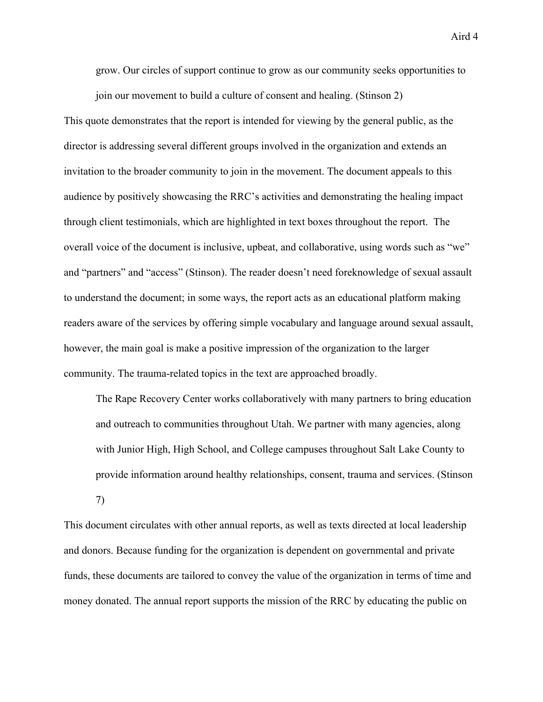Aird 4

grow. Our circles of support continue to grow as our community seeks opportunities to join our movement to build a culture of consent and healing. (Stinson 2)

This quote demonstrates that the report is intended for viewing by the general public, as the director is addressing several different groups involved in the organization and extends an invitation to the broader community to join in the movement. The document appeals to this audience by positively showcasing the RRC's activities and demonstrating the healing impact through client testimonials, which are highlighted in text boxes throughout the report. The overall voice of the document is inclusive, upbeat, and collaborative, using words such as "we" and "partners" and "access" (Stinson). The reader doesn't need foreknowledge of sexual assault to understand the document; in some ways, the report acts as an educational platform making readers aware of the services by offering simple vocabulary and language around sexual assault, however, the main goal is make a positive impression of the organization to the larger community. The trauma-related topics in the text are approached broadly.

The Rape Recovery Center works collaboratively with many partners to bring education and outreach to communities throughout Utah. We partner with many agencies, along with Junior High, High School, and College campuses throughout Salt Lake County to provide information around healthy relationships, consent, trauma and services. (Stinson 7)

This document circulates with other annual reports, as well as texts directed at local leadership and donors. Because funding for the organization is dependent on governmental and private funds, these documents are tailored to convey the value of the organization in terms of time and money donated. The annual report supports the mission of the RRC by educating the public on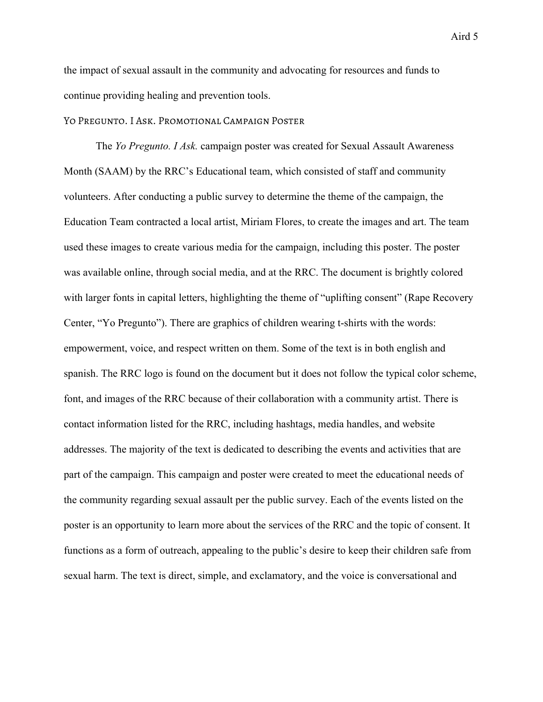the impact of sexual assault in the community and advocating for resources and funds to continue providing healing and prevention tools.

## Yo Pregunto. I Ask. Promotional Campaign Poster

The *Yo Pregunto. I Ask.* campaign poster was created for Sexual Assault Awareness Month (SAAM) by the RRC's Educational team, which consisted of staff and community volunteers. After conducting a public survey to determine the theme of the campaign, the Education Team contracted a local artist, Miriam Flores, to create the images and art. The team used these images to create various media for the campaign, including this poster. The poster was available online, through social media, and at the RRC. The document is brightly colored with larger fonts in capital letters, highlighting the theme of "uplifting consent" (Rape Recovery Center, "Yo Pregunto"). There are graphics of children wearing t-shirts with the words: empowerment, voice, and respect written on them. Some of the text is in both english and spanish. The RRC logo is found on the document but it does not follow the typical color scheme, font, and images of the RRC because of their collaboration with a community artist. There is contact information listed for the RRC, including hashtags, media handles, and website addresses. The majority of the text is dedicated to describing the events and activities that are part of the campaign. This campaign and poster were created to meet the educational needs of the community regarding sexual assault per the public survey. Each of the events listed on the poster is an opportunity to learn more about the services of the RRC and the topic of consent. It functions as a form of outreach, appealing to the public's desire to keep their children safe from sexual harm. The text is direct, simple, and exclamatory, and the voice is conversational and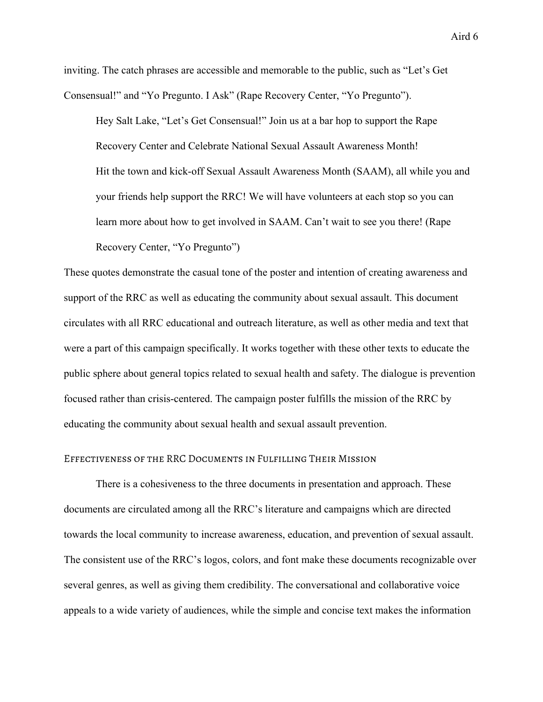inviting. The catch phrases are accessible and memorable to the public, such as "Let's Get Consensual!" and "Yo Pregunto. I Ask" (Rape Recovery Center, "Yo Pregunto").

Hey Salt Lake, "Let's Get Consensual!" Join us at a bar hop to support the Rape Recovery Center and Celebrate National Sexual Assault Awareness Month! Hit the town and kick-off Sexual Assault Awareness Month (SAAM), all while you and your friends help support the RRC! We will have volunteers at each stop so you can learn more about how to get involved in SAAM. Can't wait to see you there! (Rape Recovery Center, "Yo Pregunto")

These quotes demonstrate the casual tone of the poster and intention of creating awareness and support of the RRC as well as educating the community about sexual assault. This document circulates with all RRC educational and outreach literature, as well as other media and text that were a part of this campaign specifically. It works together with these other texts to educate the public sphere about general topics related to sexual health and safety. The dialogue is prevention focused rather than crisis-centered. The campaign poster fulfills the mission of the RRC by educating the community about sexual health and sexual assault prevention.

#### Effectiveness of the RRC Documents in Fulfilling Their Mission

There is a cohesiveness to the three documents in presentation and approach. These documents are circulated among all the RRC's literature and campaigns which are directed towards the local community to increase awareness, education, and prevention of sexual assault. The consistent use of the RRC's logos, colors, and font make these documents recognizable over several genres, as well as giving them credibility. The conversational and collaborative voice appeals to a wide variety of audiences, while the simple and concise text makes the information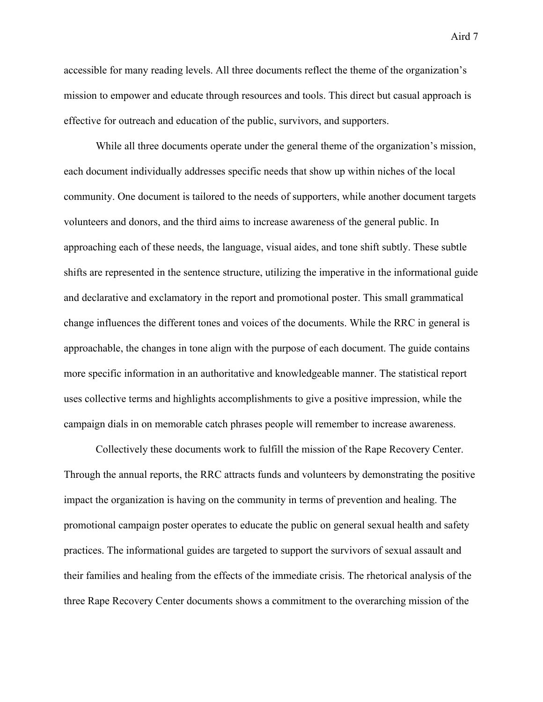accessible for many reading levels. All three documents reflect the theme of the organization's mission to empower and educate through resources and tools. This direct but casual approach is effective for outreach and education of the public, survivors, and supporters.

While all three documents operate under the general theme of the organization's mission, each document individually addresses specific needs that show up within niches of the local community. One document is tailored to the needs of supporters, while another document targets volunteers and donors, and the third aims to increase awareness of the general public. In approaching each of these needs, the language, visual aides, and tone shift subtly. These subtle shifts are represented in the sentence structure, utilizing the imperative in the informational guide and declarative and exclamatory in the report and promotional poster. This small grammatical change influences the different tones and voices of the documents. While the RRC in general is approachable, the changes in tone align with the purpose of each document. The guide contains more specific information in an authoritative and knowledgeable manner. The statistical report uses collective terms and highlights accomplishments to give a positive impression, while the campaign dials in on memorable catch phrases people will remember to increase awareness.

Collectively these documents work to fulfill the mission of the Rape Recovery Center. Through the annual reports, the RRC attracts funds and volunteers by demonstrating the positive impact the organization is having on the community in terms of prevention and healing. The promotional campaign poster operates to educate the public on general sexual health and safety practices. The informational guides are targeted to support the survivors of sexual assault and their families and healing from the effects of the immediate crisis. The rhetorical analysis of the three Rape Recovery Center documents shows a commitment to the overarching mission of the

Aird 7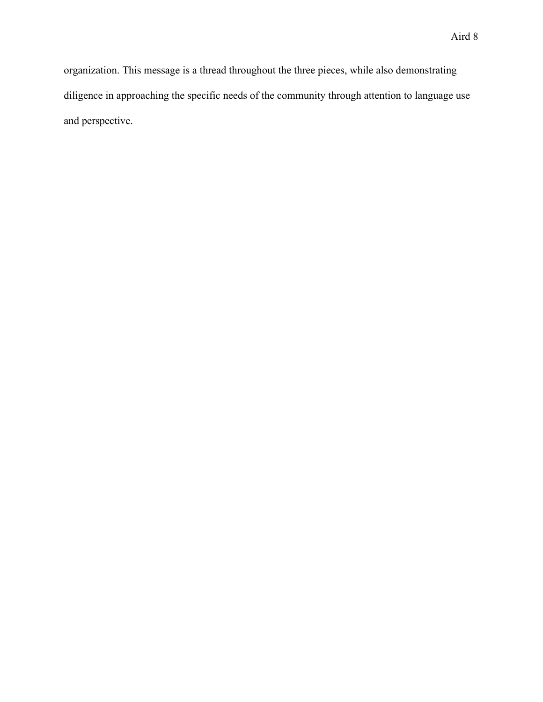organization. This message is a thread throughout the three pieces, while also demonstrating diligence in approaching the specific needs of the community through attention to language use and perspective.